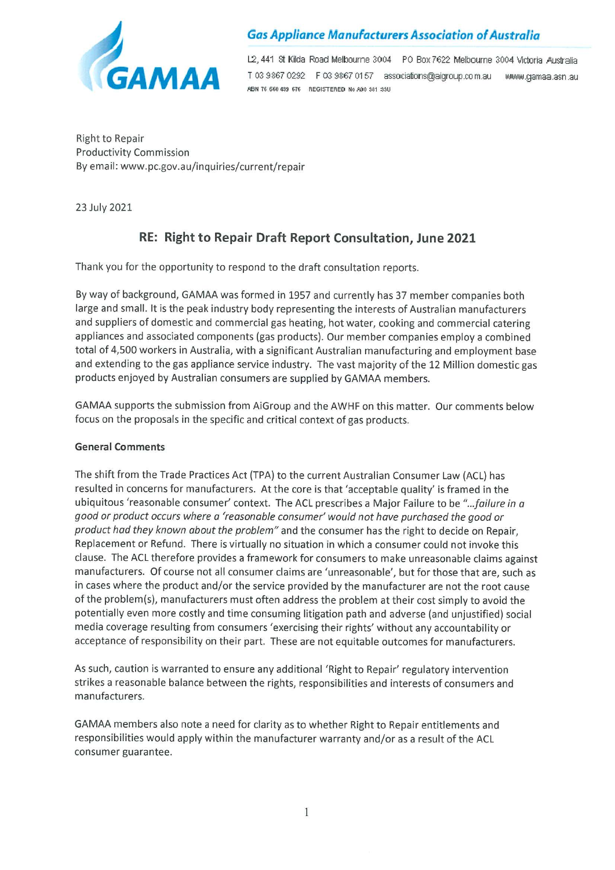

## **Gas Appliance Manufacturers Association of Australia**

L2, 441 St Kilda Road Melbourne 3004 PO Box 7622 Melbourne 3004 Victoria Australia T 03 9867 0292 F 03 9867 0157 associations@aigroup.com.au MMM.gamaa.asn.au ABN 76 660 439 676 REGISTERED No A00 381 33U

**Right to Repair Productivity Commission** By email: www.pc.gov.au/inquiries/current/repair

23 July 2021

# RE: Right to Repair Draft Report Consultation, June 2021

Thank you for the opportunity to respond to the draft consultation reports.

By way of background, GAMAA was formed in 1957 and currently has 37 member companies both large and small. It is the peak industry body representing the interests of Australian manufacturers and suppliers of domestic and commercial gas heating, hot water, cooking and commercial catering appliances and associated components (gas products). Our member companies employ a combined total of 4,500 workers in Australia, with a significant Australian manufacturing and employment base and extending to the gas appliance service industry. The vast majority of the 12 Million domestic gas products enjoyed by Australian consumers are supplied by GAMAA members.

GAMAA supports the submission from AiGroup and the AWHF on this matter. Our comments below focus on the proposals in the specific and critical context of gas products.

#### **General Comments**

The shift from the Trade Practices Act (TPA) to the current Australian Consumer Law (ACL) has resulted in concerns for manufacturers. At the core is that 'acceptable quality' is framed in the ubiquitous 'reasonable consumer' context. The ACL prescribes a Major Failure to be "... failure in a good or product occurs where a 'reasonable consumer' would not have purchased the good or product had they known about the problem" and the consumer has the right to decide on Repair, Replacement or Refund. There is virtually no situation in which a consumer could not invoke this clause. The ACL therefore provides a framework for consumers to make unreasonable claims against manufacturers. Of course not all consumer claims are 'unreasonable', but for those that are, such as in cases where the product and/or the service provided by the manufacturer are not the root cause of the problem(s), manufacturers must often address the problem at their cost simply to avoid the potentially even more costly and time consuming litigation path and adverse (and unjustified) social media coverage resulting from consumers 'exercising their rights' without any accountability or acceptance of responsibility on their part. These are not equitable outcomes for manufacturers.

As such, caution is warranted to ensure any additional 'Right to Repair' regulatory intervention strikes a reasonable balance between the rights, responsibilities and interests of consumers and manufacturers.

GAMAA members also note a need for clarity as to whether Right to Repair entitlements and responsibilities would apply within the manufacturer warranty and/or as a result of the ACL consumer guarantee.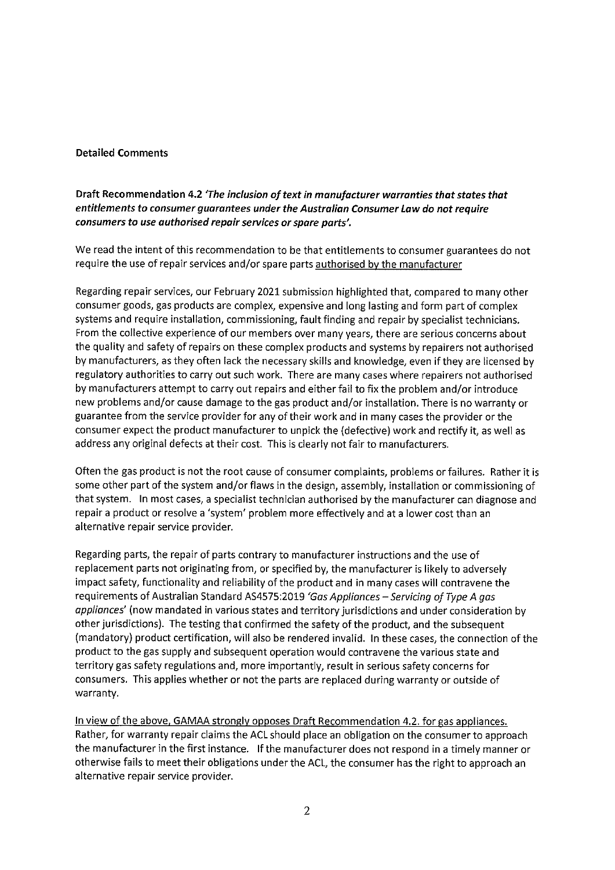#### **Detailed Comments**

### Draft Recommendation 4.2 'The inclusion of text in manufacturer warranties that states that entitlements to consumer guarantees under the Australian Consumer Law do not require consumers to use authorised repair services or spare parts'.

We read the intent of this recommendation to be that entitlements to consumer guarantees do not require the use of repair services and/or spare parts authorised by the manufacturer

Regarding repair services, our February 2021 submission highlighted that, compared to many other consumer goods, gas products are complex, expensive and long lasting and form part of complex systems and require installation, commissioning, fault finding and repair by specialist technicians. From the collective experience of our members over many years, there are serious concerns about the quality and safety of repairs on these complex products and systems by repairers not authorised by manufacturers, as they often lack the necessary skills and knowledge, even if they are licensed by regulatory authorities to carry out such work. There are many cases where repairers not authorised by manufacturers attempt to carry out repairs and either fail to fix the problem and/or introduce new problems and/or cause damage to the gas product and/or installation. There is no warranty or guarantee from the service provider for any of their work and in many cases the provider or the consumer expect the product manufacturer to unpick the (defective) work and rectify it, as well as address any original defects at their cost. This is clearly not fair to manufacturers.

Often the gas product is not the root cause of consumer complaints, problems or failures. Rather it is some other part of the system and/or flaws in the design, assembly, installation or commissioning of that system. In most cases, a specialist technician authorised by the manufacturer can diagnose and repair a product or resolve a 'system' problem more effectively and at a lower cost than an alternative repair service provider.

Regarding parts, the repair of parts contrary to manufacturer instructions and the use of replacement parts not originating from, or specified by, the manufacturer is likely to adversely impact safety, functionality and reliability of the product and in many cases will contravene the requirements of Australian Standard AS4575:2019 'Gas Appliances - Servicing of Type A gas appliances' (now mandated in various states and territory jurisdictions and under consideration by other jurisdictions). The testing that confirmed the safety of the product, and the subsequent (mandatory) product certification, will also be rendered invalid. In these cases, the connection of the product to the gas supply and subsequent operation would contravene the various state and territory gas safety regulations and, more importantly, result in serious safety concerns for consumers. This applies whether or not the parts are replaced during warranty or outside of warranty.

In view of the above, GAMAA strongly opposes Draft Recommendation 4.2. for gas appliances. Rather, for warranty repair claims the ACL should place an obligation on the consumer to approach the manufacturer in the first instance. If the manufacturer does not respond in a timely manner or otherwise fails to meet their obligations under the ACL, the consumer has the right to approach an alternative repair service provider.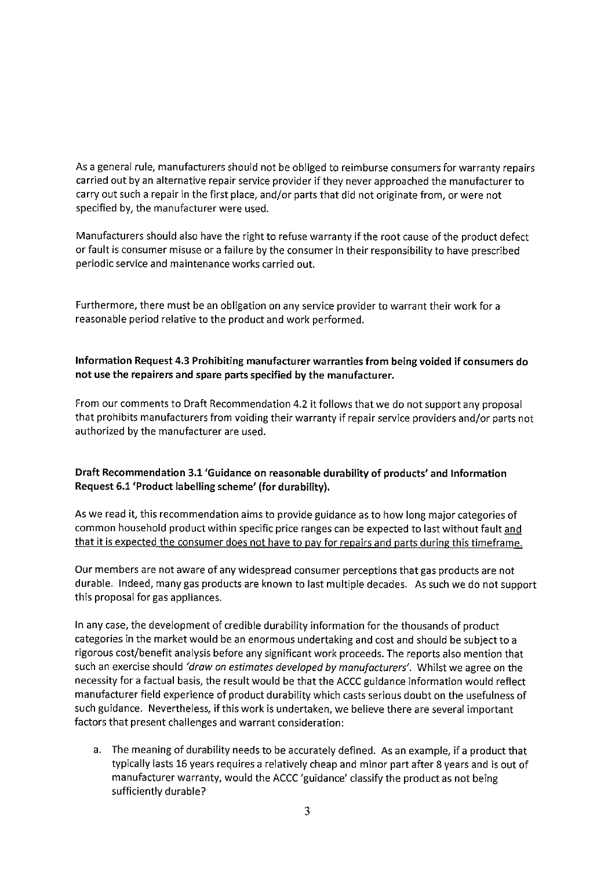As a general rule, manufacturers should not be obliged to reimburse consumers for warranty repairs carried out by an alternative repair service provider if they never approached the manufacturer to carry out such a repair in the first place, and/or parts that did not originate from, or were not specified by, the manufacturer were used.

Manufacturers should also have the right to refuse warranty if the root cause of the product defect or fault is consumer misuse or a failure by the consumer in their responsibility to have prescribed periodic service and maintenance works carried out.

Furthermore, there must be an obligation on any service provider to warrant their work for a reasonable period relative to the product and work performed.

### Information Request 4.3 Prohibiting manufacturer warranties from being voided if consumers do not use the repairers and spare parts specified by the manufacturer.

From our comments to Draft Recommendation 4.2 it follows that we do not support any proposal that prohibits manufacturers from voiding their warranty if repair service providers and/or parts not authorized by the manufacturer are used.

### Draft Recommendation 3.1 'Guidance on reasonable durability of products' and Information Request 6.1 'Product labelling scheme' (for durability).

As we read it, this recommendation aims to provide guidance as to how long major categories of common household product within specific price ranges can be expected to last without fault and that it is expected the consumer does not have to pay for repairs and parts during this timeframe.

Our members are not aware of any widespread consumer perceptions that gas products are not durable. Indeed, many gas products are known to last multiple decades. As such we do not support this proposal for gas appliances.

In any case, the development of credible durability information for the thousands of product categories in the market would be an enormous undertaking and cost and should be subject to a rigorous cost/benefit analysis before any significant work proceeds. The reports also mention that such an exercise should 'draw on estimates developed by manufacturers'. Whilst we agree on the necessity for a factual basis, the result would be that the ACCC guidance information would reflect manufacturer field experience of product durability which casts serious doubt on the usefulness of such guidance. Nevertheless, if this work is undertaken, we believe there are several important factors that present challenges and warrant consideration:

a. The meaning of durability needs to be accurately defined. As an example, if a product that typically lasts 16 years requires a relatively cheap and minor part after 8 years and is out of manufacturer warranty, would the ACCC 'guidance' classify the product as not being sufficiently durable?